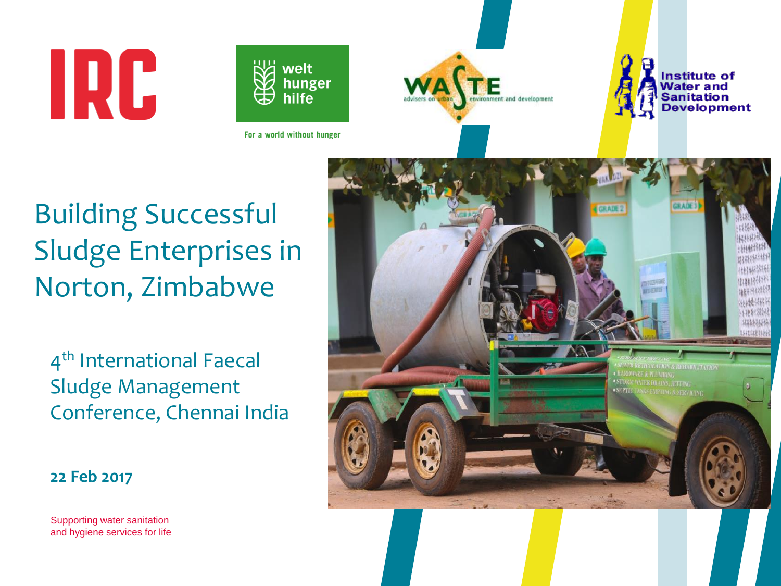# IRC







Building Successful Sludge Enterprises in Norton, Zimbabwe

4 th International Faecal Sludge Management Conference, Chennai India



**22 Feb 2017**

Supporting water sanitation and hygiene services for life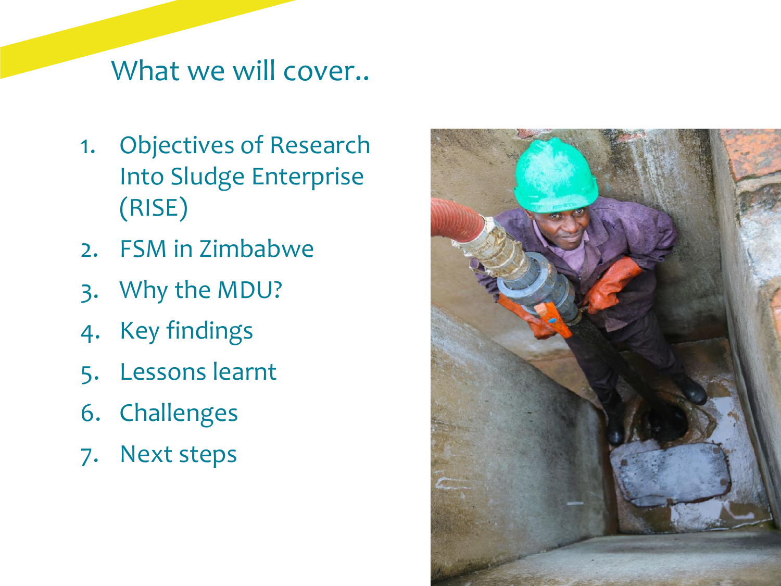#### What we will cover..

- 1. Objectives of Research Into Sludge Enterprise (RISE)
- 2. FSM in Zimbabwe
- 3. Why the MDU?
- 4. Key findings
- 5. Lessons learnt
- 6. Challenges
- 7. Next steps

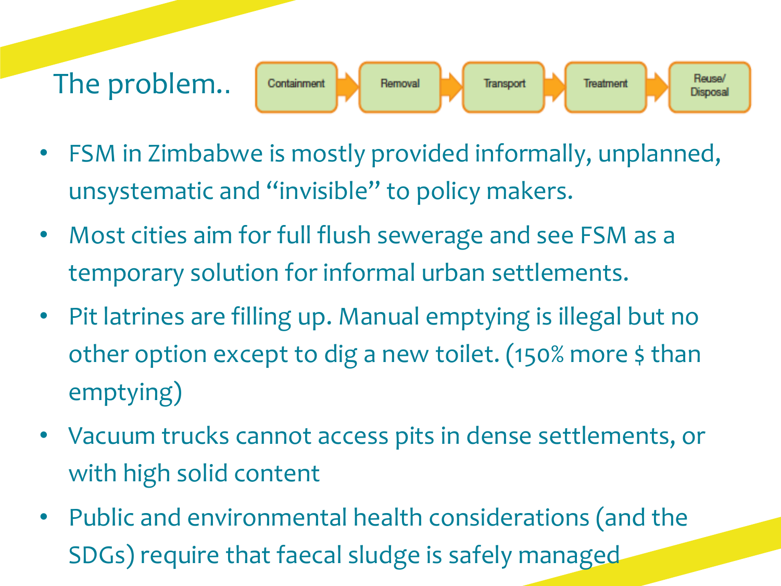#### The problem..Reuse/ Containment Removal Transport Treatment **Disposal**

- FSM in Zimbabwe is mostly provided informally, unplanned, unsystematic and "invisible" to policy makers.
- Most cities aim for full flush sewerage and see FSM as a temporary solution for informal urban settlements.
- Pit latrines are filling up. Manual emptying is illegal but no other option except to dig a new toilet. (150% more \$ than emptying)
- Vacuum trucks cannot access pits in dense settlements, or with high solid content
- Public and environmental health considerations (and the SDGs) require that faecal sludge is safely managed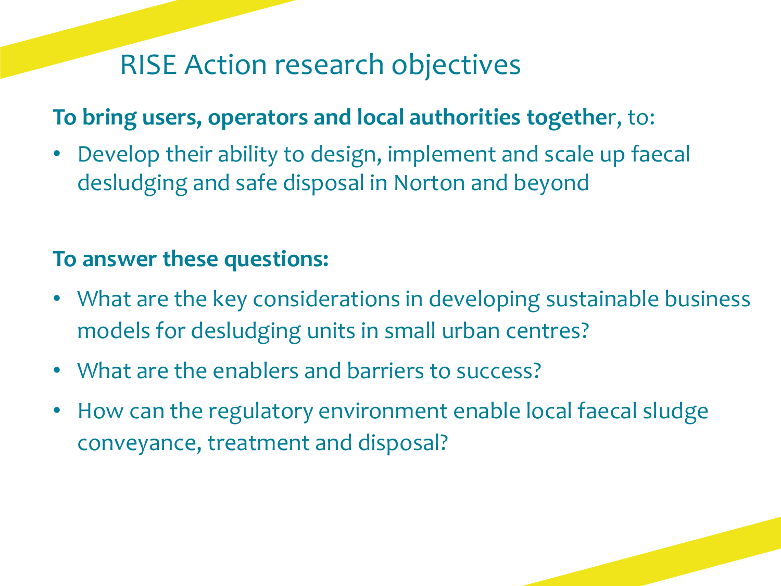# RISE Action research objectives

#### **To bring users, operators and local authorities togethe**r, to:

• Develop their ability to design, implement and scale up faecal desludging and safe disposal in Norton and beyond

#### **To answer these questions:**

- What are the key considerations in developing sustainable business models for desludging units in small urban centres?
- What are the enablers and barriers to success?
- How can the regulatory environment enable local faecal sludge conveyance, treatment and disposal?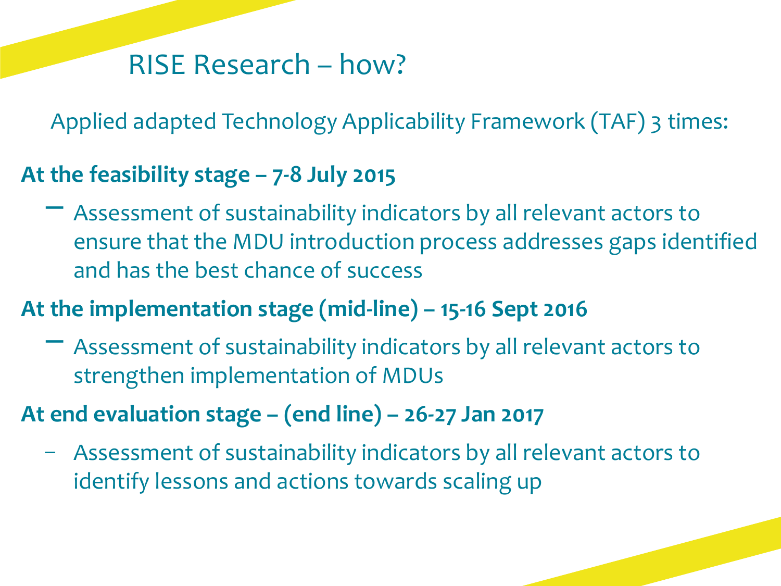#### RISE Research – how?

Applied adapted Technology Applicability Framework (TAF) 3 times:

#### **At the feasibility stage – 7-8 July 2015**

− Assessment of sustainability indicators by all relevant actors to ensure that the MDU introduction process addresses gaps identified and has the best chance of success

#### **At the implementation stage (mid-line) – 15-16 Sept 2016**

− Assessment of sustainability indicators by all relevant actors to strengthen implementation of MDUs

#### **At end evaluation stage – (end line) – 26-27 Jan 2017**

− Assessment of sustainability indicators by all relevant actors to identify lessons and actions towards scaling up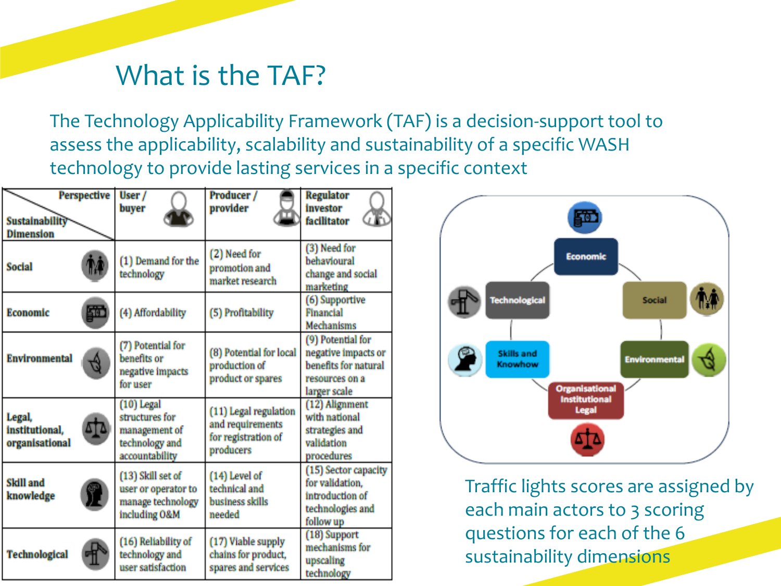#### What is the TAF?

The Technology Applicability Framework (TAF) is a decision-support tool to assess the applicability, scalability and sustainability of a specific WASH technology to provide lasting services in a specific context

| Perspective<br><b>Sustainability</b><br><b>Dimension</b> | User /<br>buyer                                                                     | Producer /<br>provider                                                        | <b>Regulator</b><br>investor<br>facilitator                                                        |
|----------------------------------------------------------|-------------------------------------------------------------------------------------|-------------------------------------------------------------------------------|----------------------------------------------------------------------------------------------------|
| <b>Social</b>                                            | (1) Demand for the<br>technology                                                    | (2) Need for<br>promotion and<br>market research                              | (3) Need for<br>behavioural<br>change and social<br>marketing                                      |
| 50<br><b>Economic</b>                                    | (4) Affordability                                                                   | (5) Profitability                                                             | (6) Supportive<br>Financial<br><b>Mechanisms</b>                                                   |
| <b>Environmental</b>                                     | (7) Potential for<br>benefits or<br>negative impacts<br>for user                    | (8) Potential for local<br>production of<br>product or spares                 | (9) Potential for<br>negative impacts or<br>benefits for natural<br>resources on a<br>larger scale |
| Legal,<br>institutional.<br>organisational               | $(10)$ Legal<br>structures for<br>management of<br>technology and<br>accountability | (11) Legal regulation<br>and requirements<br>for registration of<br>producers | (12) Alignment<br>with national<br>strategies and<br>validation<br>procedures                      |
| <b>Skill</b> and<br>knowledge                            | (13) Skill set of<br>user or operator to<br>manage technology<br>including O&M      | (14) Level of<br>technical and<br>business skills<br>needed                   | (15) Sector capacity<br>for validation.<br>introduction of<br>technologies and<br>follow up        |
| <b>Technological</b>                                     | (16) Reliability of<br>technology and<br>user satisfaction                          | (17) Viable supply<br>chains for product,<br>spares and services              | (18) Support<br>mechanisms for<br>upscaling<br>technology                                          |



Traffic lights scores are assigned by each main actors to 3 scoring questions for each of the 6 sustainability dimensions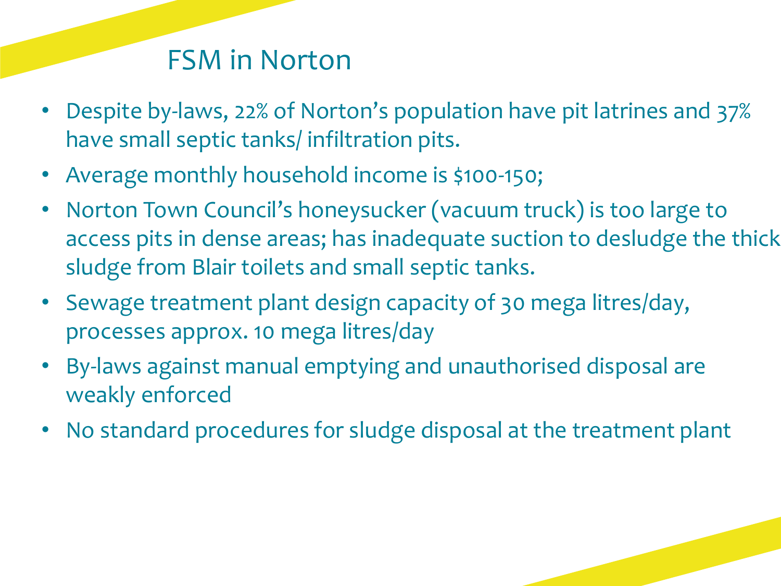### FSM in Norton

- Despite by-laws, 22% of Norton's population have pit latrines and 37% have small septic tanks/ infiltration pits.
- Average monthly household income is \$100-150;
- Norton Town Council's honeysucker (vacuum truck) is too large to access pits in dense areas; has inadequate suction to desludge the thick sludge from Blair toilets and small septic tanks.
- Sewage treatment plant design capacity of 30 mega litres/day, processes approx. 10 mega litres/day
- By-laws against manual emptying and unauthorised disposal are weakly enforced
- No standard procedures for sludge disposal at the treatment plant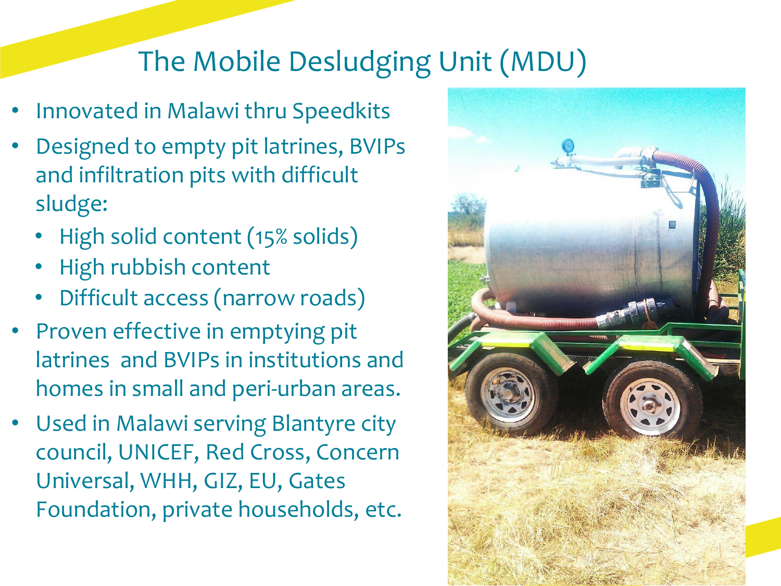# The Mobile Desludging Unit (MDU)

- Innovated in Malawi thru Speedkits
- Designed to empty pit latrines, BVIPs and infiltration pits with difficult sludge:
	- High solid content (15% solids)
	- High rubbish content
	- Difficult access (narrow roads)
- Proven effective in emptying pit latrines and BVIPs in institutions and homes in small and peri-urban areas.
- Used in Malawi serving Blantyre city council, UNICEF, Red Cross, Concern Universal, WHH, GIZ, EU, Gates Foundation, private households, etc.

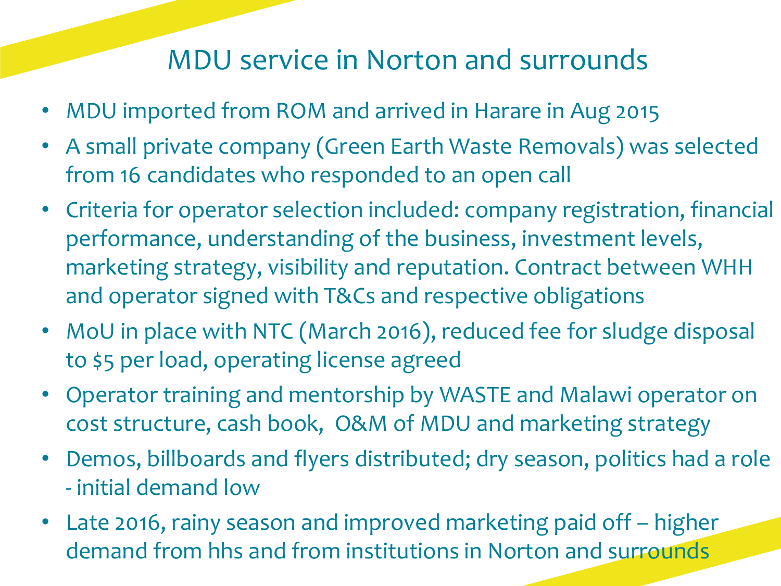# MDU service in Norton and surrounds

- MDU imported from ROM and arrived in Harare in Aug 2015
- A small private company (Green Earth Waste Removals) was selected from 16 candidates who responded to an open call
- Criteria for operator selection included: company registration, financial performance, understanding of the business, investment levels, marketing strategy, visibility and reputation. Contract between WHH and operator signed with T&Cs and respective obligations
- MoU in place with NTC (March 2016), reduced fee for sludge disposal to \$5 per load, operating license agreed
- Operator training and mentorship by WASTE and Malawi operator on cost structure, cash book, O&M of MDU and marketing strategy
- Demos, billboards and flyers distributed; dry season, politics had a role - initial demand low
- Late 2016, rainy season and improved marketing paid off higher demand from hhs and from institutions in Norton and surrounds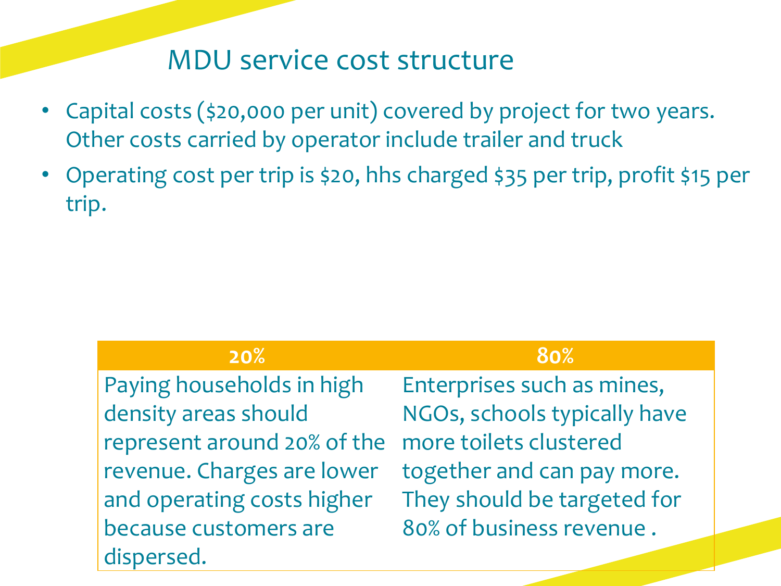#### MDU service cost structure

- Capital costs (\$20,000 per unit) covered by project for two years. Other costs carried by operator include trailer and truck
- Operating cost per trip is \$20, hhs charged \$35 per trip, profit \$15 per trip.

| 20%                         | 80%                          |
|-----------------------------|------------------------------|
| Paying households in high   | Enterprises such as mines,   |
| density areas should        | NGOs, schools typically have |
| represent around 20% of the | more toilets clustered       |
| revenue. Charges are lower  | together and can pay more.   |
| and operating costs higher  | They should be targeted for  |
| because customers are       | 80% of business revenue.     |
| dispersed.                  |                              |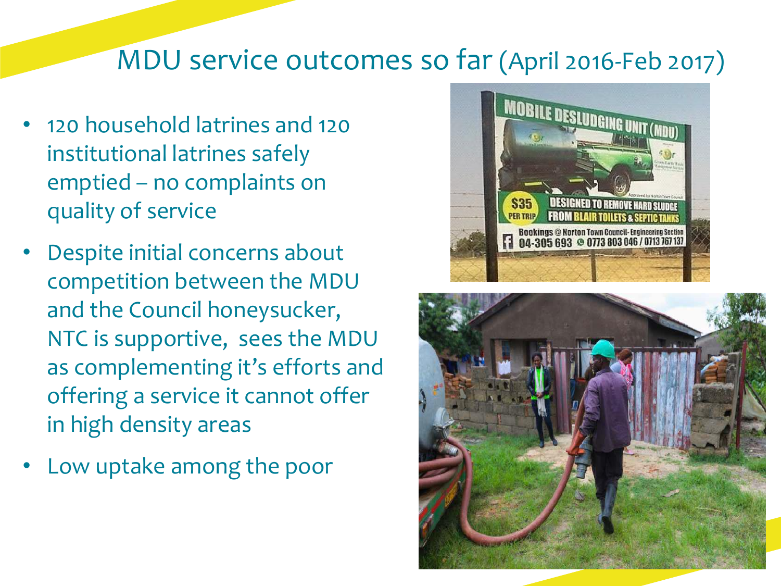#### MDU service outcomes so far (April 2016-Feb 2017)

- 120 household latrines and 120 institutional latrines safely emptied – no complaints on quality of service
- Despite initial concerns about competition between the MDU and the Council honeysucker, NTC is supportive, sees the MDU as complementing it's efforts and offering a service it cannot offer in high density areas
- Low uptake among the poor



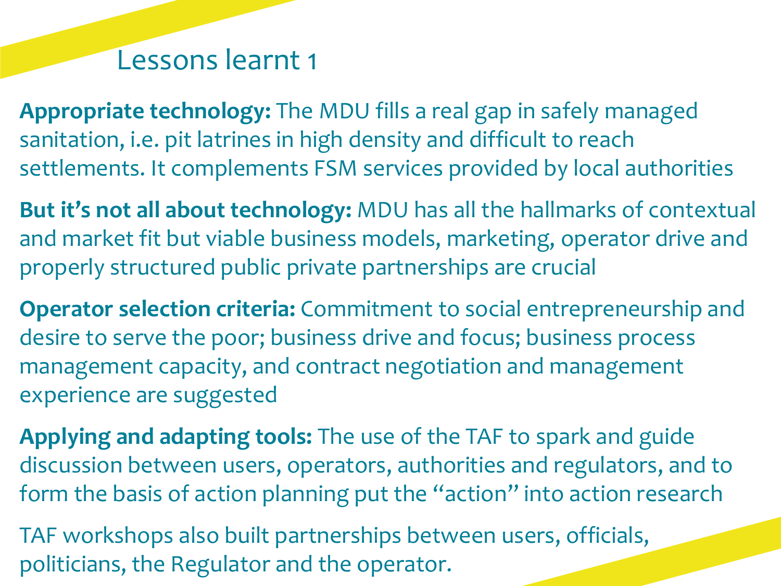#### Lessons learnt 1

**Appropriate technology:** The MDU fills a real gap in safely managed sanitation, i.e. pit latrines in high density and difficult to reach settlements. It complements FSM services provided by local authorities

**But it's not all about technology:** MDU has all the hallmarks of contextual and market fit but viable business models, marketing, operator drive and properly structured public private partnerships are crucial

**Operator selection criteria:** Commitment to social entrepreneurship and desire to serve the poor; business drive and focus; business process management capacity, and contract negotiation and management experience are suggested

**Applying and adapting tools:** The use of the TAF to spark and guide discussion between users, operators, authorities and regulators, and to form the basis of action planning put the "action" into action research

TAF workshops also built partnerships between users, officials, politicians, the Regulator and the operator.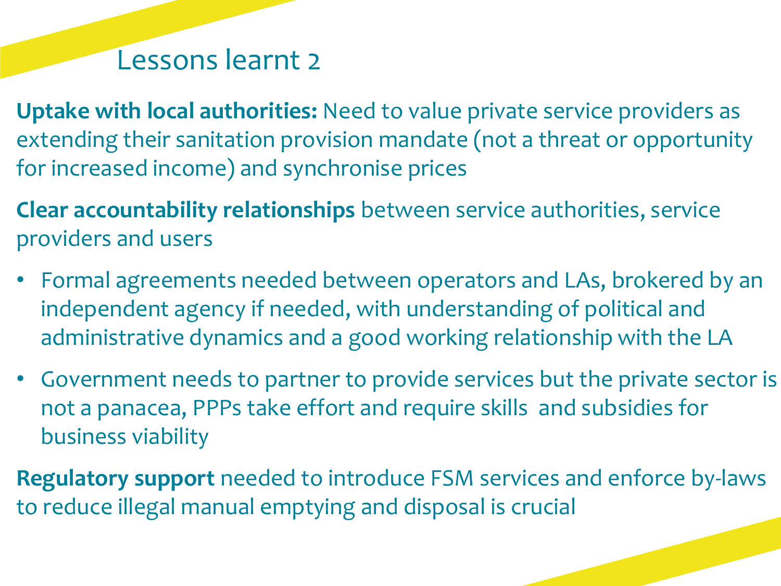#### Lessons learnt 2

- **Uptake with local authorities:** Need to value private service providers as extending their sanitation provision mandate (not a threat or opportunity for increased income) and synchronise prices
- **Clear accountability relationships** between service authorities, service providers and users
- Formal agreements needed between operators and LAs, brokered by an independent agency if needed, with understanding of political and administrative dynamics and a good working relationship with the LA
- Government needs to partner to provide services but the private sector is not a panacea, PPPs take effort and require skills and subsidies for business viability
- **Regulatory support** needed to introduce FSM services and enforce by-laws to reduce illegal manual emptying and disposal is crucial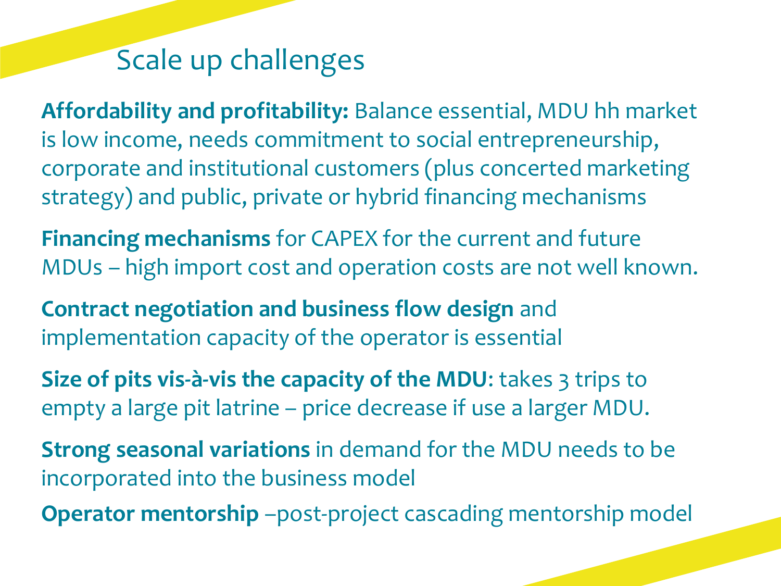# Scale up challenges

**Affordability and profitability:** Balance essential, MDU hh market is low income, needs commitment to social entrepreneurship, corporate and institutional customers (plus concerted marketing strategy) and public, private or hybrid financing mechanisms

**Financing mechanisms** for CAPEX for the current and future MDUs – high import cost and operation costs are not well known.

**Contract negotiation and business flow design** and implementation capacity of the operator is essential

**Size of pits vis-à-vis the capacity of the MDU:** takes 3 trips to empty a large pit latrine – price decrease if use a larger MDU.

**Strong seasonal variations** in demand for the MDU needs to be incorporated into the business model

**Operator mentorship** –post-project cascading mentorship model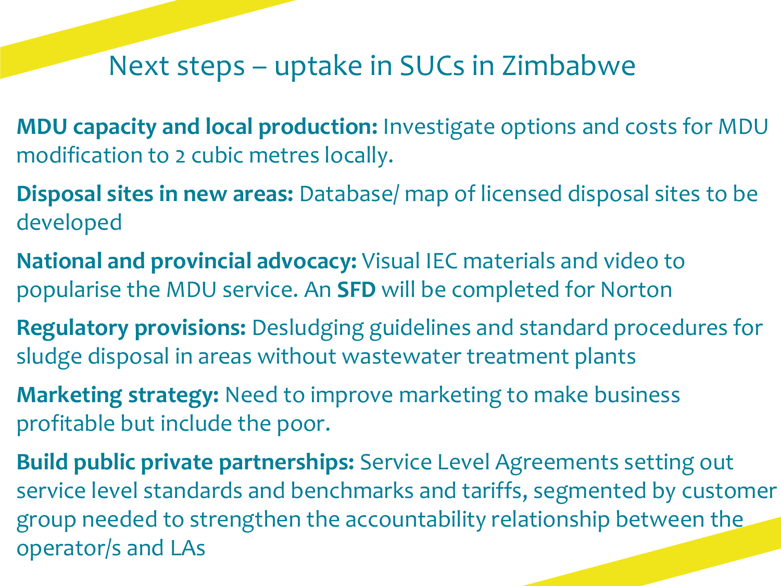#### Next steps – uptake in SUCs in Zimbabwe

- **MDU capacity and local production:** Investigate options and costs for MDU modification to 2 cubic metres locally.
- **Disposal sites in new areas:** Database/ map of licensed disposal sites to be developed
- **National and provincial advocacy:** Visual IEC materials and video to popularise the MDU service. An **SFD** will be completed for Norton
- **Regulatory provisions:** Desludging guidelines and standard procedures for sludge disposal in areas without wastewater treatment plants
- **Marketing strategy:** Need to improve marketing to make business profitable but include the poor.
- **Build public private partnerships:** Service Level Agreements setting out service level standards and benchmarks and tariffs, segmented by customer group needed to strengthen the accountability relationship between the operator/s and LAs